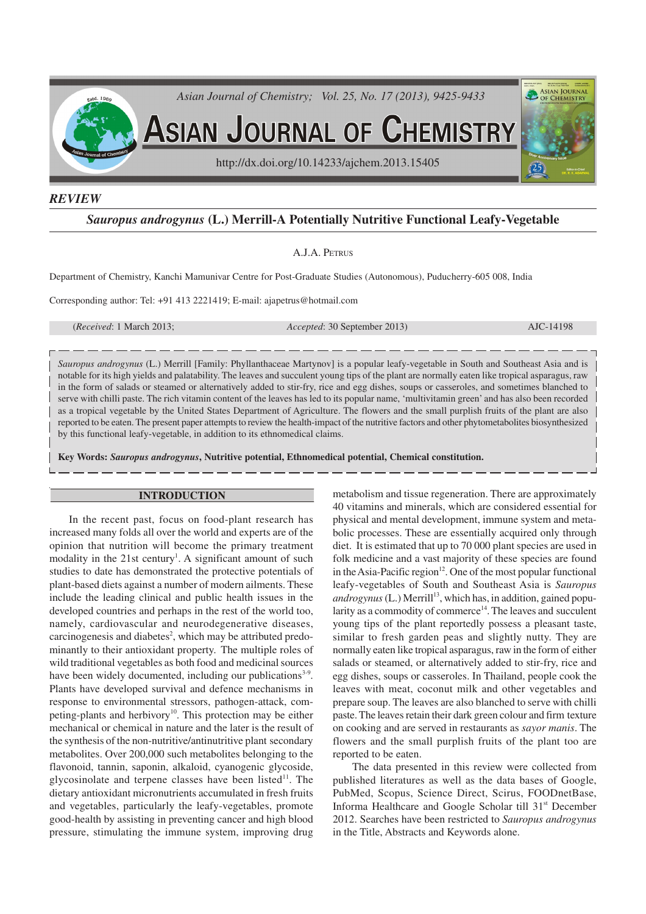

## *REVIEW*

# *Sauropus androgynus* **(L.) Merrill-A Potentially Nutritive Functional Leafy-Vegetable**

### A.J.A. PETRUS

Department of Chemistry, Kanchi Mamunivar Centre for Post-Graduate Studies (Autonomous), Puducherry-605 008, India

Corresponding author: Tel: +91 413 2221419; E-mail: ajapetrus@hotmail.com

(*Received*: 1 March 2013; *Accepted*: 30 September 2013) AJC-14198

*Sauropus androgynus* (L.) Merrill [Family: Phyllanthaceae Martynov] is a popular leafy-vegetable in South and Southeast Asia and is notable for its high yields and palatability. The leaves and succulent young tips of the plant are normally eaten like tropical asparagus, raw in the form of salads or steamed or alternatively added to stir-fry, rice and egg dishes, soups or casseroles, and sometimes blanched to serve with chilli paste. The rich vitamin content of the leaves has led to its popular name, 'multivitamin green' and has also been recorded as a tropical vegetable by the United States Department of Agriculture. The flowers and the small purplish fruits of the plant are also reported to be eaten. The present paper attempts to review the health-impact of the nutritive factors and other phytometabolites biosynthesized by this functional leafy-vegetable, in addition to its ethnomedical claims.

**Key Words:** *Sauropus androgynus***, Nutritive potential, Ethnomedical potential, Chemical constitution.**

### **INTRODUCTION**

In the recent past, focus on food-plant research has increased many folds all over the world and experts are of the opinion that nutrition will become the primary treatment modality in the 21st century<sup>1</sup>. A significant amount of such studies to date has demonstrated the protective potentials of plant-based diets against a number of modern ailments. These include the leading clinical and public health issues in the developed countries and perhaps in the rest of the world too, namely, cardiovascular and neurodegenerative diseases, carcinogenesis and diabetes<sup>2</sup>, which may be attributed predominantly to their antioxidant property. The multiple roles of wild traditional vegetables as both food and medicinal sources have been widely documented, including our publications<sup>3-9</sup>. Plants have developed survival and defence mechanisms in response to environmental stressors, pathogen-attack, competing-plants and herbivory 10 . This protection may be either mechanical or chemical in nature and the later is the result of the synthesis of the non-nutritive/antinutritive plant secondary metabolites. Over 200,000 such metabolites belonging to the flavonoid, tannin, saponin, alkaloid, cyanogenic glycoside, glycosinolate and terpene classes have been listed<sup>11</sup>. The dietary antioxidant micronutrients accumulated in fresh fruits and vegetables, particularly the leafy-vegetables, promote good-health by assisting in preventing cancer and high blood pressure, stimulating the immune system, improving drug metabolism and tissue regeneration. There are approximately 40 vitamins and minerals, which are considered essential for physical and mental development, immune system and metabolic processes. These are essentially acquired only through diet. It is estimated that up to 70 000 plant species are used in folk medicine and a vast majority of these species are found in the Asia-Pacific region $12$ . One of the most popular functional leafy-vegetables of South and Southeast Asia is *Sauropus* androgynus (L.) Merrill<sup>13</sup>, which has, in addition, gained popularity as a commodity of commerce<sup>14</sup>. The leaves and succulent young tips of the plant reportedly possess a pleasant taste, similar to fresh garden peas and slightly nutty. They are normally eaten like tropical asparagus, raw in the form of either salads or steamed, or alternatively added to stir-fry, rice and egg dishes, soups or casseroles. In Thailand, people cook the leaves with meat, coconut milk and other vegetables and prepare soup. The leaves are also blanched to serve with chilli paste. The leaves retain their dark green colour and firm texture on cooking and are served in restaurants as *sayor manis*. The flowers and the small purplish fruits of the plant too are reported to be eaten.

The data presented in this review were collected from published literatures as well as the data bases of Google, PubMed, Scopus, Science Direct, Scirus, FOODnetBase, Informa Healthcare and Google Scholar till 31<sup>st</sup> December 2012. Searches have been restricted to *Sauropus androgynus* in the Title, Abstracts and Keywords alone.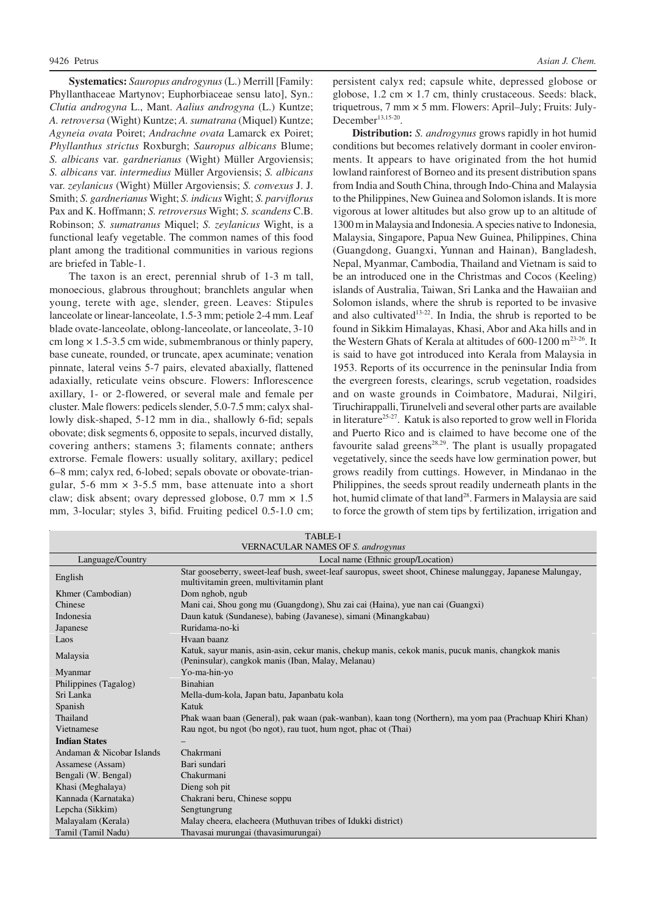**Systematics:** *Sauropus androgynus* (L.) Merrill [Family: Phyllanthaceae Martynov; Euphorbiaceae sensu lato], Syn.: *Clutia androgyna* L., Mant. *Aalius androgyna* (L.) Kuntze; *A. retroversa* (Wight) Kuntze; *A. sumatrana* (Miquel) Kuntze; *Agyneia ovata* Poiret; *Andrachne ovata* Lamarck ex Poiret; *Phyllanthus strictus* Roxburgh; *Sauropus albicans* Blume; *S. albicans* var. *gardnerianus* (Wight) Müller Argoviensis; *S. albicans* var. *intermedius* Müller Argoviensis; *S. albicans* var. *zeylanicus* (Wight) Müller Argoviensis; *S. convexus* J. J. Smith; *S. gardnerianus* Wight; *S. indicus* Wight; *S. parviflorus* Pax and K. Hoffmann; *S. retroversus* Wight; *S. scandens* C.B. Robinson; *S. sumatranus* Miquel; *S. zeylanicus* Wight, is a functional leafy vegetable. The common names of this food plant among the traditional communities in various regions are briefed in Table-1.

The taxon is an erect, perennial shrub of 1-3 m tall, monoecious, glabrous throughout; branchlets angular when young, terete with age, slender, green. Leaves: Stipules lanceolate or linear-lanceolate, 1.5-3 mm; petiole 2-4 mm. Leaf blade ovate-lanceolate, oblong-lanceolate, or lanceolate, 3-10 cm long  $\times$  1.5-3.5 cm wide, submembranous or thinly papery, base cuneate, rounded, or truncate, apex acuminate; venation pinnate, lateral veins 5-7 pairs, elevated abaxially, flattened adaxially, reticulate veins obscure. Flowers: Inflorescence axillary, 1- or 2-flowered, or several male and female per cluster. Male flowers: pedicels slender, 5.0-7.5 mm; calyx shallowly disk-shaped, 5-12 mm in dia., shallowly 6-fid; sepals obovate; disk segments 6, opposite to sepals, incurved distally, covering anthers; stamens 3; filaments connate; anthers extrorse. Female flowers: usually solitary, axillary; pedicel 6–8 mm; calyx red, 6-lobed; sepals obovate or obovate-triangular, 5-6 mm  $\times$  3-5.5 mm, base attenuate into a short claw; disk absent; ovary depressed globose,  $0.7$  mm  $\times$   $1.5$ mm, 3-locular; styles 3, bifid. Fruiting pedicel 0.5-1.0 cm;

persistent calyx red; capsule white, depressed globose or globose,  $1.2 \text{ cm} \times 1.7 \text{ cm}$ , thinly crustaceous. Seeds: black, triquetrous, 7 mm × 5 mm. Flowers: April–July; Fruits: July-December<sup>13,15-20</sup>.

**Distribution:** *S. androgynus* grows rapidly in hot humid conditions but becomes relatively dormant in cooler environments. It appears to have originated from the hot humid lowland rainforest of Borneo and its present distribution spans from India and South China, through Indo-China and Malaysia to the Philippines, New Guinea and Solomon islands. It is more vigorous at lower altitudes but also grow up to an altitude of 1300 m in Malaysia and Indonesia. A species native to Indonesia, Malaysia, Singapore, Papua New Guinea, Philippines, China (Guangdong, Guangxi, Yunnan and Hainan), Bangladesh, Nepal, Myanmar, Cambodia, Thailand and Vietnam is said to be an introduced one in the Christmas and Cocos (Keeling) islands of Australia, Taiwan, Sri Lanka and the Hawaiian and Solomon islands, where the shrub is reported to be invasive and also cultivated<sup>13-22</sup>. In India, the shrub is reported to be found in Sikkim Himalayas, Khasi, Abor and Aka hills and in the Western Ghats of Kerala at altitudes of  $600-1200$  m<sup>23-26</sup>. It is said to have got introduced into Kerala from Malaysia in 1953. Reports of its occurrence in the peninsular India from the evergreen forests, clearings, scrub vegetation, roadsides and on waste grounds in Coimbatore, Madurai, Nilgiri, Tiruchirappalli, Tirunelveli and several other parts are available in literature 25-27. Katuk is also reported to grow well in Florida and Puerto Rico and is claimed to have become one of the favourite salad greens<sup>28,29</sup>. The plant is usually propagated vegetatively, since the seeds have low germination power, but grows readily from cuttings. However, in Mindanao in the Philippines, the seeds sprout readily underneath plants in the hot, humid climate of that land<sup>28</sup>. Farmers in Malaysia are said to force the growth of stem tips by fertilization, irrigation and

| TABLE-1                                  |                                                                                                                                                          |  |  |  |  |
|------------------------------------------|----------------------------------------------------------------------------------------------------------------------------------------------------------|--|--|--|--|
| <b>VERNACULAR NAMES OF S. androgynus</b> |                                                                                                                                                          |  |  |  |  |
| Language/Country                         | Local name (Ethnic group/Location)                                                                                                                       |  |  |  |  |
| English                                  | Star gooseberry, sweet-leaf bush, sweet-leaf sauropus, sweet shoot, Chinese malunggay, Japanese Malungay,<br>multivitamin green, multivitamin plant      |  |  |  |  |
| Khmer (Cambodian)                        | Dom nghob, ngub                                                                                                                                          |  |  |  |  |
| Chinese                                  | Mani cai, Shou gong mu (Guangdong), Shu zai cai (Haina), yue nan cai (Guangxi)                                                                           |  |  |  |  |
| Indonesia                                | Daun katuk (Sundanese), babing (Javanese), simani (Minangkabau)                                                                                          |  |  |  |  |
| Japanese                                 | Ruridama-no-ki                                                                                                                                           |  |  |  |  |
| Laos                                     | Hyaan baanz                                                                                                                                              |  |  |  |  |
| Malaysia                                 | Katuk, sayur manis, asin-asin, cekur manis, chekup manis, cekok manis, pucuk manis, changkok manis<br>(Peninsular), cangkok manis (Iban, Malay, Melanau) |  |  |  |  |
| Myanmar                                  | Yo-ma-hin-yo                                                                                                                                             |  |  |  |  |
| Philippines (Tagalog)                    | <b>Binahian</b>                                                                                                                                          |  |  |  |  |
| Sri Lanka                                | Mella-dum-kola, Japan batu, Japanbatu kola                                                                                                               |  |  |  |  |
| Spanish                                  | Katuk                                                                                                                                                    |  |  |  |  |
| Thailand                                 | Phak waan baan (General), pak waan (pak-wanban), kaan tong (Northern), ma yom paa (Prachuap Khiri Khan)                                                  |  |  |  |  |
| Vietnamese                               | Rau ngot, bu ngot (bo ngot), rau tuot, hum ngot, phac ot (Thai)                                                                                          |  |  |  |  |
| <b>Indian States</b>                     |                                                                                                                                                          |  |  |  |  |
| Andaman & Nicobar Islands                | Chakrmani                                                                                                                                                |  |  |  |  |
| Assamese (Assam)                         | Bari sundari                                                                                                                                             |  |  |  |  |
| Bengali (W. Bengal)                      | Chakurmani                                                                                                                                               |  |  |  |  |
| Khasi (Meghalaya)                        | Dieng soh pit                                                                                                                                            |  |  |  |  |
| Kannada (Karnataka)                      | Chakrani beru, Chinese soppu                                                                                                                             |  |  |  |  |
| Lepcha (Sikkim)                          | Sengtungrung                                                                                                                                             |  |  |  |  |
| Malayalam (Kerala)                       | Malay cheera, elacheera (Muthuvan tribes of Idukki district)                                                                                             |  |  |  |  |
| Tamil (Tamil Nadu)                       | Thavasai murungai (thavasimurungai)                                                                                                                      |  |  |  |  |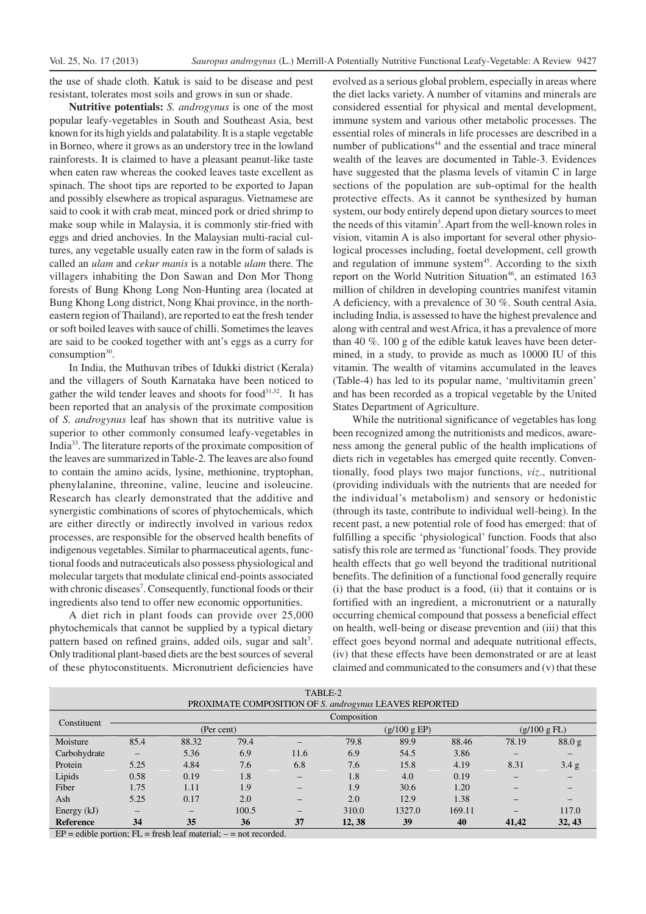the use of shade cloth. Katuk is said to be disease and pest resistant, tolerates most soils and grows in sun or shade.

**Nutritive potentials:** *S. androgynus* is one of the most popular leafy-vegetables in South and Southeast Asia, best known for its high yields and palatability. It is a staple vegetable in Borneo, where it grows as an understory tree in the lowland rainforests. It is claimed to have a pleasant peanut-like taste when eaten raw whereas the cooked leaves taste excellent as spinach. The shoot tips are reported to be exported to Japan and possibly elsewhere as tropical asparagus. Vietnamese are said to cook it with crab meat, minced pork or dried shrimp to make soup while in Malaysia, it is commonly stir-fried with eggs and dried anchovies. In the Malaysian multi-racial cultures, any vegetable usually eaten raw in the form of salads is called an *ulam* and *cekur manis* is a notable *ulam* there. The villagers inhabiting the Don Sawan and Don Mor Thong forests of Bung Khong Long Non-Hunting area (located at Bung Khong Long district, Nong Khai province, in the northeastern region of Thailand), are reported to eat the fresh tender or soft boiled leaves with sauce of chilli. Sometimes the leaves are said to be cooked together with ant's eggs as a curry for  $consumption<sup>30</sup>$ .

In India, the Muthuvan tribes of Idukki district (Kerala) and the villagers of South Karnataka have been noticed to gather the wild tender leaves and shoots for food<sup>31,32</sup>. It has been reported that an analysis of the proximate composition of *S. androgynus* leaf has shown that its nutritive value is superior to other commonly consumed leafy-vegetables in India<sup>33</sup>. The literature reports of the proximate composition of the leaves are summarized in Table-2. The leaves are also found to contain the amino acids, lysine, methionine, tryptophan, phenylalanine, threonine, valine, leucine and isoleucine. Research has clearly demonstrated that the additive and synergistic combinations of scores of phytochemicals, which are either directly or indirectly involved in various redox processes, are responsible for the observed health benefits of indigenous vegetables. Similar to pharmaceutical agents, functional foods and nutraceuticals also possess physiological and molecular targets that modulate clinical end-points associated with chronic diseases<sup>7</sup>. Consequently, functional foods or their ingredients also tend to offer new economic opportunities.

A diet rich in plant foods can provide over 25,000 phytochemicals that cannot be supplied by a typical dietary pattern based on refined grains, added oils, sugar and salt<sup>3</sup>. Only traditional plant-based diets are the best sources of several of these phytoconstituents. Micronutrient deficiencies have

evolved as a serious global problem, especially in areas where the diet lacks variety. A number of vitamins and minerals are considered essential for physical and mental development, immune system and various other metabolic processes. The essential roles of minerals in life processes are described in a number of publications<sup>44</sup> and the essential and trace mineral wealth of the leaves are documented in Table-3. Evidences have suggested that the plasma levels of vitamin C in large sections of the population are sub-optimal for the health protective effects. As it cannot be synthesized by human system, our body entirely depend upon dietary sources to meet the needs of this vitamin<sup>3</sup>. Apart from the well-known roles in vision, vitamin A is also important for several other physiological processes including, foetal development, cell growth and regulation of immune system<sup>45</sup>. According to the sixth report on the World Nutrition Situation<sup>46</sup>, an estimated 163 million of children in developing countries manifest vitamin A deficiency, with a prevalence of 30 %. South central Asia, including India, is assessed to have the highest prevalence and along with central and west Africa, it has a prevalence of more than 40 %. 100 g of the edible katuk leaves have been determined, in a study, to provide as much as 10000 IU of this vitamin. The wealth of vitamins accumulated in the leaves (Table-4) has led to its popular name, 'multivitamin green' and has been recorded as a tropical vegetable by the United States Department of Agriculture.

While the nutritional significance of vegetables has long been recognized among the nutritionists and medicos, awareness among the general public of the health implications of diets rich in vegetables has emerged quite recently. Conventionally, food plays two major functions, *viz*., nutritional (providing individuals with the nutrients that are needed for the individual's metabolism) and sensory or hedonistic (through its taste, contribute to individual well-being). In the recent past, a new potential role of food has emerged: that of fulfilling a specific 'physiological' function. Foods that also satisfy this role are termed as 'functional' foods. They provide health effects that go well beyond the traditional nutritional benefits. The definition of a functional food generally require (i) that the base product is a food, (ii) that it contains or is fortified with an ingredient, a micronutrient or a naturally occurring chemical compound that possess a beneficial effect on health, well-being or disease prevention and (iii) that this effect goes beyond normal and adequate nutritional effects, (iv) that these effects have been demonstrated or are at least claimed and communicated to the consumers and (v) that these

| TABLE-2                                                           |                   |                          |            |                          |             |              |        |       |              |  |
|-------------------------------------------------------------------|-------------------|--------------------------|------------|--------------------------|-------------|--------------|--------|-------|--------------|--|
| PROXIMATE COMPOSITION OF S. androgynus LEAVES REPORTED            |                   |                          |            |                          |             |              |        |       |              |  |
|                                                                   |                   |                          |            |                          | Composition |              |        |       |              |  |
| Constituent                                                       |                   |                          | (Per cent) |                          |             | (g/100 g EP) |        |       | (g/100 g FL) |  |
| Moisture                                                          | 85.4              | 88.32                    | 79.4       | -                        | 79.8        | 89.9         | 88.46  | 78.19 | 88.0 g       |  |
| Carbohydrate                                                      | $\qquad \qquad -$ | 5.36                     | 6.9        | 11.6                     | 6.9         | 54.5         | 3.86   |       |              |  |
| Protein                                                           | 5.25              | 4.84                     | 7.6        | 6.8                      | 7.6         | 15.8         | 4.19   | 8.31  | 3.4 g        |  |
| Lipids                                                            | 0.58              | 0.19                     | 1.8        | -                        | 1.8         | 4.0          | 0.19   |       |              |  |
| Fiber                                                             | 1.75              | 1.11                     | 1.9        | $\overline{\phantom{0}}$ | 1.9         | 30.6         | 1.20   |       |              |  |
| Ash                                                               | 5.25              | 0.17                     | 2.0        | $\overline{\phantom{0}}$ | 2.0         | 12.9         | 1.38   |       |              |  |
| Energy $(kJ)$                                                     | -                 | $\overline{\phantom{0}}$ | 100.5      | $\overline{\phantom{0}}$ | 310.0       | 1327.0       | 169.11 |       | 117.0        |  |
| <b>Reference</b>                                                  | 34                | 35                       | 36         | 37                       | 12, 38      | 39           | 40     | 41,42 | 32, 43       |  |
| $FD =$ edible portion: $FI =$ freeb leaf material: = not recorded |                   |                          |            |                          |             |              |        |       |              |  |

 $EP =$  edible portion;  $FL =$  fresh leaf material;  $- =$  not recorded.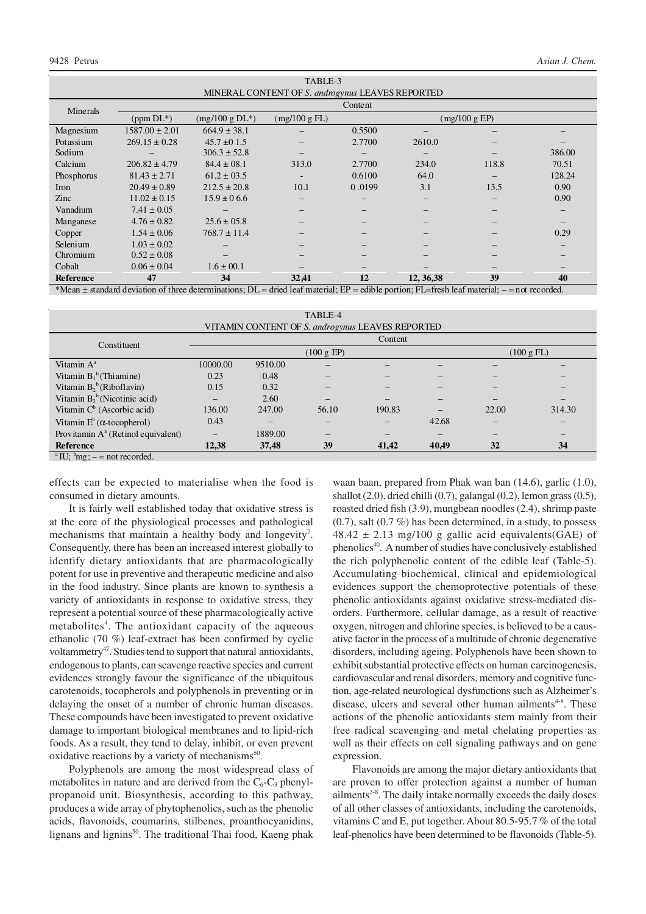| TABLE-3                                          |                                                                                      |                              |        |                                  |       |                                                                                                    |  |  |  |
|--------------------------------------------------|--------------------------------------------------------------------------------------|------------------------------|--------|----------------------------------|-------|----------------------------------------------------------------------------------------------------|--|--|--|
| MINERAL CONTENT OF S. androgynus LEAVES REPORTED |                                                                                      |                              |        |                                  |       |                                                                                                    |  |  |  |
| Content                                          |                                                                                      |                              |        |                                  |       |                                                                                                    |  |  |  |
| $(ppm DL^*)$                                     | $(mg/100 g DL*)$                                                                     | (mg/100 g FL)                |        |                                  |       |                                                                                                    |  |  |  |
| $1587.00 \pm 2.01$                               | $664.9 \pm 38.1$                                                                     |                              | 0.5500 |                                  |       |                                                                                                    |  |  |  |
| $269.15 \pm 0.28$                                | $45.7 \pm 0.15$                                                                      | -                            | 2.7700 | 2610.0                           |       |                                                                                                    |  |  |  |
|                                                  | $306.3 \pm 52.8$                                                                     |                              |        |                                  |       | 386.00                                                                                             |  |  |  |
| $206.82 \pm 4.79$                                | $84.4 \pm 08.1$                                                                      | 313.0                        | 2.7700 | 234.0                            | 118.8 | 70.51                                                                                              |  |  |  |
| $81.43 \pm 2.71$                                 | $61.2 \pm 03.5$                                                                      | $\overline{\phantom{a}}$     | 0.6100 | 64.0                             |       | 128.24                                                                                             |  |  |  |
| $20.49 \pm 0.89$                                 | $212.5 \pm 20.8$                                                                     | 10.1                         | 0.0199 | 3.1                              | 13.5  | 0.90                                                                                               |  |  |  |
| $11.02 \pm 0.15$                                 | $15.9 \pm 0.66$                                                                      | $\qquad \qquad -$            |        | -                                |       | 0.90                                                                                               |  |  |  |
| $7.41 \pm 0.05$                                  |                                                                                      | $\qquad \qquad -$            |        |                                  |       |                                                                                                    |  |  |  |
| $4.76 \pm 0.82$                                  | $25.6 \pm 05.8$                                                                      | $\qquad \qquad -$            |        | -                                |       |                                                                                                    |  |  |  |
| $1.54 \pm 0.06$                                  | $768.7 \pm 11.4$                                                                     |                              |        |                                  |       | 0.29                                                                                               |  |  |  |
| $1.03 \pm 0.02$                                  |                                                                                      |                              |        |                                  |       |                                                                                                    |  |  |  |
| $0.52 \pm 0.08$                                  |                                                                                      |                              |        |                                  |       |                                                                                                    |  |  |  |
| $0.06 \pm 0.04$                                  | $1.6 \pm 00.1$                                                                       |                              |        |                                  |       |                                                                                                    |  |  |  |
| 47                                               | 34                                                                                   | 32,41                        | 12     | 12, 36, 38                       | 39    | 40<br>$1 - 1$                                                                                      |  |  |  |
|                                                  | $\mathbf{1}$ and $\mathbf{1}$ and $\mathbf{1}$ and $\mathbf{1}$<br>$\mathcal{C}$ . 1 | $\mathbf{r}$<br>$\mathbf{1}$ | 1.11c  | $\cdot$ $\cdot$ $\cdot$<br>111.1 |       | (mg/100 g EP)<br>$\Gamma$ $\Gamma$ $\Gamma$ $\Gamma$ $\Gamma$ $\Gamma$ $\Gamma$<br>$\cdot$ $\cdot$ |  |  |  |

\*Mean  $\pm$  standard deviation of three determinations;  $DL =$  dried leaf material;  $EP =$  edible portion; FL=fresh leaf material;  $-$  = not recorded

| TABLE-4                                          |                      |         |       |        |       |                      |        |  |
|--------------------------------------------------|----------------------|---------|-------|--------|-------|----------------------|--------|--|
| VITAMIN CONTENT OF S. androgynus LEAVES REPORTED |                      |         |       |        |       |                      |        |  |
| Constituent                                      |                      | Content |       |        |       |                      |        |  |
|                                                  | $(100 \text{ g EP})$ |         |       |        |       | $(100 \text{ g FL})$ |        |  |
| Vitamin $A^a$                                    | 10000.00             | 9510.00 |       |        |       |                      |        |  |
| Vitamin $B_1^b$ (Thiamine)                       | 0.23                 | 0.48    |       |        |       |                      |        |  |
| Vitamin $B_2^b$ (Riboflavin)                     | 0.15                 | 0.32    |       |        |       |                      |        |  |
| Vitamin $B_3^b$ (Nicotinic acid)                 |                      | 2.60    |       |        |       |                      |        |  |
| Vitamin $C^b$ (Ascorbic acid)                    | 136.00               | 247.00  | 56.10 | 190.83 |       | 22.00                | 314.30 |  |
| Vitamin $E^b$ ( $\alpha$ -tocopherol)            | 0.43                 |         |       |        | 42.68 |                      |        |  |
| Provitamin $A^a$ (Retinol equivalent)            | $\qquad \qquad$      | 1889.00 | -     |        |       |                      |        |  |
| Reference                                        | 12,38                | 37,48   | 39    | 41,42  | 40,49 | 32                   | 34     |  |

<sup>a</sup> IU;  $^{b}mg$ ;  $-$  = not recorded.

effects can be expected to materialise when the food is consumed in dietary amounts.

It is fairly well established today that oxidative stress is at the core of the physiological processes and pathological mechanisms that maintain a healthy body and longevity<sup>7</sup>. Consequently, there has been an increased interest globally to identify dietary antioxidants that are pharmacologically potent for use in preventive and therapeutic medicine and also in the food industry. Since plants are known to synthesis a variety of antioxidants in response to oxidative stress, they represent a potential source of these pharmacologically active metabolites<sup>4</sup>. The antioxidant capacity of the aqueous ethanolic (70 %) leaf-extract has been confirmed by cyclic voltammetry<sup>47</sup>. Studies tend to support that natural antioxidants, endogenous to plants, can scavenge reactive species and current evidences strongly favour the significance of the ubiquitous carotenoids, tocopherols and polyphenols in preventing or in delaying the onset of a number of chronic human diseases. These compounds have been investigated to prevent oxidative damage to important biological membranes and to lipid-rich foods. As a result, they tend to delay, inhibit, or even prevent oxidative reactions by a variety of mechanisms $^{50}$ .

Polyphenols are among the most widespread class of metabolites in nature and are derived from the  $C_6$ - $C_3$  phenylpropanoid unit. Biosynthesis, according to this pathway, produces a wide array of phytophenolics, such as the phenolic acids, flavonoids, coumarins, stilbenes, proanthocyanidins, lignans and lignins<sup>50</sup>. The traditional Thai food, Kaeng phak

waan baan, prepared from Phak wan ban (14.6), garlic (1.0), shallot (2.0), dried chilli (0.7), galangal (0.2), lemon grass (0.5), roasted dried fish (3.9), mungbean noodles (2.4), shrimp paste (0.7), salt (0.7 %) has been determined, in a study, to possess  $48.42 \pm 2.13$  mg/100 g gallic acid equivalents(GAE) of phenolics<sup>40</sup>. A number of studies have conclusively established the rich polyphenolic content of the edible leaf (Table-5). Accumulating biochemical, clinical and epidemiological evidences support the chemoprotective potentials of these phenolic antioxidants against oxidative stress-mediated disorders. Furthermore, cellular damage, as a result of reactive oxygen, nitrogen and chlorine species, is believed to be a causative factor in the process of a multitude of chronic degenerative disorders, including ageing. Polyphenols have been shown to exhibit substantial protective effects on human carcinogenesis, cardiovascular and renal disorders, memory and cognitive function, age-related neurological dysfunctions such as Alzheimer's disease, ulcers and several other human ailments<sup>4-8</sup>. These actions of the phenolic antioxidants stem mainly from their free radical scavenging and metal chelating properties as well as their effects on cell signaling pathways and on gene expression.

Flavonoids are among the major dietary antioxidants that are proven to offer protection against a number of human ailments<sup>3-8</sup>. The daily intake normally exceeds the daily doses of all other classes of antioxidants, including the carotenoids, vitamins C and E, put together. About 80.5-95.7 % of the total leaf-phenolics have been determined to be flavonoids (Table-5).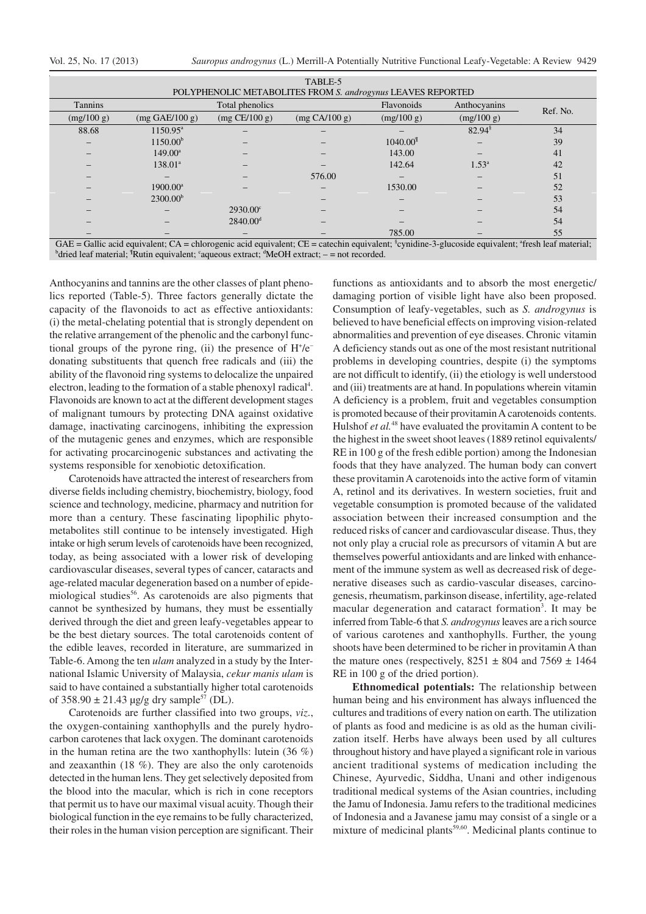|  |  |  |  | Vol. 25, No. 17 (2013) |
|--|--|--|--|------------------------|
|--|--|--|--|------------------------|

| TABLE-5                                                                                                                                                                 |                          |                   |               |                      |                |          |  |  |
|-------------------------------------------------------------------------------------------------------------------------------------------------------------------------|--------------------------|-------------------|---------------|----------------------|----------------|----------|--|--|
| POLYPHENOLIC METABOLITES FROM S. androgynus LEAVES REPORTED                                                                                                             |                          |                   |               |                      |                |          |  |  |
| <b>Tannins</b>                                                                                                                                                          |                          | Total phenolics   |               | Flavonoids           | Anthocyanins   | Ref. No. |  |  |
| (mg/100 g)                                                                                                                                                              | $(mg \text{ GAE}/100 g)$ | $(mg$ CE/100 g)   | (mg CA/100 g) | (mg/100 g)           | (mg/100 g)     |          |  |  |
| 88.68                                                                                                                                                                   | $1150.95^{\mathrm{a}}$   |                   |               |                      | $82.94^{\$}$   | 34       |  |  |
|                                                                                                                                                                         | 1150.00 <sup>b</sup>     |                   |               | 1040.00 <sup>1</sup> |                | 39       |  |  |
|                                                                                                                                                                         | $149.00^{\circ}$         |                   |               | 143.00               |                | 41       |  |  |
|                                                                                                                                                                         | $138.01^{\circ}$         |                   |               | 142.64               | $1.53^{\circ}$ | 42       |  |  |
|                                                                                                                                                                         |                          |                   | 576.00        |                      |                | 51       |  |  |
|                                                                                                                                                                         | $1900.00^a$              |                   |               | 1530.00              |                | 52       |  |  |
|                                                                                                                                                                         | 2300.00 <sup>b</sup>     |                   |               |                      |                | 53       |  |  |
|                                                                                                                                                                         |                          | $2930.00^{\circ}$ |               |                      |                | 54       |  |  |
|                                                                                                                                                                         |                          | $2840.00^{\rm d}$ |               |                      |                | 54       |  |  |
|                                                                                                                                                                         |                          |                   |               | 785.00               |                | 55       |  |  |
| $GAE =$ Gallic acid equivalent; $CA =$ chlorogenic acid equivalent; $CE =$ catechin equivalent; $\gamma$ cynidine-3-glucoside equivalent; $\gamma$ fresh leaf material; |                          |                   |               |                      |                |          |  |  |

<sup>b</sup>dried leaf material; <sup>¶</sup>Rutin equivalent; <sup>c</sup>aqueous extract; <sup>d</sup>MeOH extract; - = not recorded.

Anthocyanins and tannins are the other classes of plant phenolics reported (Table-5). Three factors generally dictate the capacity of the flavonoids to act as effective antioxidants: (i) the metal-chelating potential that is strongly dependent on the relative arrangement of the phenolic and the carbonyl functional groups of the pyrone ring, (ii) the presence of H<sup>+</sup>/e<sup>-</sup> donating substituents that quench free radicals and (iii) the ability of the flavonoid ring systems to delocalize the unpaired electron, leading to the formation of a stable phenoxyl radical<sup>4</sup>. Flavonoids are known to act at the different development stages of malignant tumours by protecting DNA against oxidative damage, inactivating carcinogens, inhibiting the expression of the mutagenic genes and enzymes, which are responsible for activating procarcinogenic substances and activating the systems responsible for xenobiotic detoxification.

Carotenoids have attracted the interest of researchers from diverse fields including chemistry, biochemistry, biology, food science and technology, medicine, pharmacy and nutrition for more than a century. These fascinating lipophilic phytometabolites still continue to be intensely investigated. High intake or high serum levels of carotenoids have been recognized, today, as being associated with a lower risk of developing cardiovascular diseases, several types of cancer, cataracts and age-related macular degeneration based on a number of epidemiological studies<sup>56</sup>. As carotenoids are also pigments that cannot be synthesized by humans, they must be essentially derived through the diet and green leafy-vegetables appear to be the best dietary sources. The total carotenoids content of the edible leaves, recorded in literature, are summarized in Table-6. Among the ten *ulam* analyzed in a study by the International Islamic University of Malaysia, *cekur manis ulam* is said to have contained a substantially higher total carotenoids of  $358.90 \pm 21.43 \mu$ g/g dry sample<sup>57</sup> (DL).

Carotenoids are further classified into two groups, *viz*., the oxygen-containing xanthophylls and the purely hydrocarbon carotenes that lack oxygen. The dominant carotenoids in the human retina are the two xanthophylls: lutein  $(36\%)$ and zeaxanthin (18 %). They are also the only carotenoids detected in the human lens. They get selectively deposited from the blood into the macular, which is rich in cone receptors that permit us to have our maximal visual acuity. Though their biological function in the eye remains to be fully characterized, their roles in the human vision perception are significant. Their

functions as antioxidants and to absorb the most energetic/ damaging portion of visible light have also been proposed. Consumption of leafy-vegetables, such as *S. androgynus* is believed to have beneficial effects on improving vision-related abnormalities and prevention of eye diseases. Chronic vitamin A deficiency stands out as one of the most resistant nutritional problems in developing countries, despite (i) the symptoms are not difficult to identify, (ii) the etiology is well understood and (iii) treatments are at hand. In populations wherein vitamin A deficiency is a problem, fruit and vegetables consumption is promoted because of their provitamin A carotenoids contents. Hulshof *et al.*<sup>48</sup> have evaluated the provitamin A content to be the highest in the sweet shoot leaves (1889 retinol equivalents/ RE in 100 g of the fresh edible portion) among the Indonesian foods that they have analyzed. The human body can convert these provitamin A carotenoids into the active form of vitamin A, retinol and its derivatives. In western societies, fruit and vegetable consumption is promoted because of the validated association between their increased consumption and the reduced risks of cancer and cardiovascular disease. Thus, they not only play a crucial role as precursors of vitamin A but are themselves powerful antioxidants and are linked with enhancement of the immune system as well as decreased risk of degenerative diseases such as cardio-vascular diseases, carcinogenesis, rheumatism, parkinson disease, infertility, age-related macular degeneration and cataract formation<sup>3</sup>. It may be inferred from Table-6 that *S. androgynus* leaves are a rich source of various carotenes and xanthophylls. Further, the young shoots have been determined to be richer in provitamin A than the mature ones (respectively,  $8251 \pm 804$  and  $7569 \pm 1464$ RE in 100 g of the dried portion).

**Ethnomedical potentials:** The relationship between human being and his environment has always influenced the cultures and traditions of every nation on earth. The utilization of plants as food and medicine is as old as the human civilization itself. Herbs have always been used by all cultures throughout history and have played a significant role in various ancient traditional systems of medication including the Chinese, Ayurvedic, Siddha, Unani and other indigenous traditional medical systems of the Asian countries, including the Jamu of Indonesia. Jamu refers to the traditional medicines of Indonesia and a Javanese jamu may consist of a single or a mixture of medicinal plants<sup>59,60</sup>. Medicinal plants continue to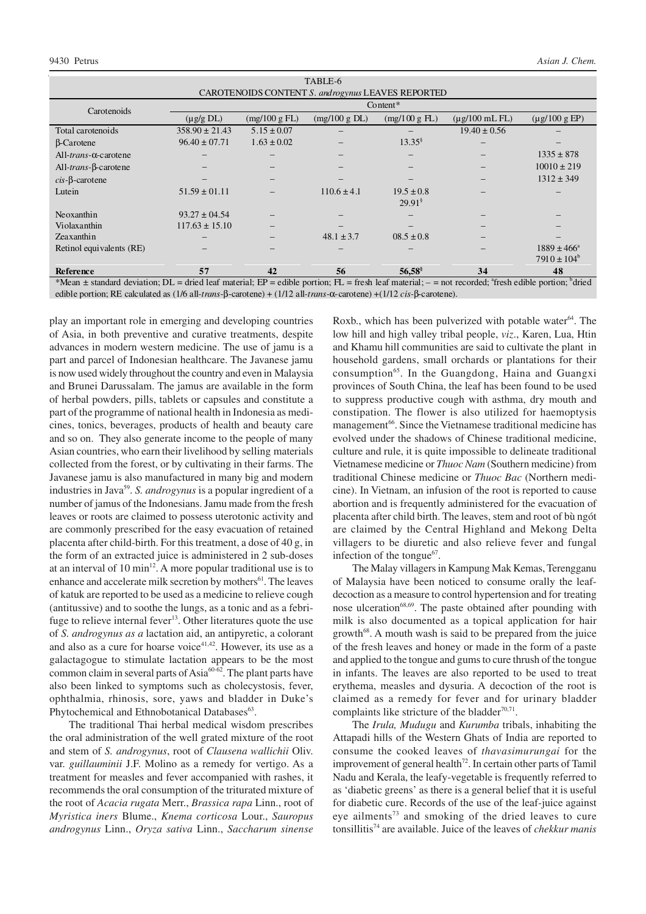| TABLE-6                                                                                                                                                   |                    |                 |                 |                         |                     |                        |  |
|-----------------------------------------------------------------------------------------------------------------------------------------------------------|--------------------|-----------------|-----------------|-------------------------|---------------------|------------------------|--|
| CAROTENOIDS CONTENT S. and rogynus LEAVES REPORTED                                                                                                        |                    |                 |                 |                         |                     |                        |  |
| Carotenoids                                                                                                                                               | Content $*$        |                 |                 |                         |                     |                        |  |
|                                                                                                                                                           | $(\mu g/g \, DL)$  | (mg/100 g FL)   | (mg/100 g DL)   | $(mg/100 g \text{ FL})$ | $(\mu$ g/100 mL FL) | $(\mu$ g/100 g EP)     |  |
| Total carotenoids                                                                                                                                         | $358.90 \pm 21.43$ | $5.15 \pm 0.07$ |                 |                         | $19.40 \pm 0.56$    |                        |  |
| <b>B-Carotene</b>                                                                                                                                         | $96.40 \pm 07.71$  | $1.63 \pm 0.02$ |                 | $13.35^{\$}$            |                     |                        |  |
| All- <i>trans</i> - $\alpha$ -carotene                                                                                                                    |                    |                 |                 |                         |                     | $1335 \pm 878$         |  |
| All- <i>trans</i> -β-carotene                                                                                                                             |                    |                 |                 |                         |                     | $10010 \pm 219$        |  |
| $cis$ - $\beta$ -carotene                                                                                                                                 |                    |                 |                 |                         |                     | $1312 \pm 349$         |  |
| Lutein                                                                                                                                                    | $51.59 \pm 01.11$  |                 | $110.6 \pm 4.1$ | $19.5 \pm 0.8$          |                     |                        |  |
|                                                                                                                                                           |                    |                 |                 | $29.91^s$               |                     |                        |  |
| Neoxanthin                                                                                                                                                | $93.27 \pm 04.54$  |                 |                 |                         |                     |                        |  |
| Violaxanthin                                                                                                                                              | $117.63 \pm 15.10$ |                 |                 |                         |                     |                        |  |
| Zeaxanthin                                                                                                                                                |                    |                 | $48.1 \pm 3.7$  | $08.5 \pm 0.8$          |                     |                        |  |
| Retinol equivalents (RE)                                                                                                                                  |                    |                 |                 |                         |                     | $1889 \pm 466^{\circ}$ |  |
|                                                                                                                                                           |                    |                 |                 |                         |                     | $7910 \pm 104^b$       |  |
| Reference                                                                                                                                                 | 57                 | 42              | 56              | $56,58^{\$}$            | 34                  | 48                     |  |
| *Mean $\pm$ standard deviation; DL = dried leaf material; EP = edible portion; FL = fresh leaf material; - = not recorded; "fresh edible portion; "dried" |                    |                 |                 |                         |                     |                        |  |

edible portion; RE calculated as (1/6 all*-trans-*β-carotene) + (1/12 all*-trans-*α-carotene) +(1/12 *cis-*β-carotene).

play an important role in emerging and developing countries of Asia, in both preventive and curative treatments, despite advances in modern western medicine. The use of jamu is a part and parcel of Indonesian healthcare. The Javanese jamu is now used widely throughout the country and even in Malaysia and Brunei Darussalam. The jamus are available in the form of herbal powders, pills, tablets or capsules and constitute a part of the programme of national health in Indonesia as medicines, tonics, beverages, products of health and beauty care and so on. They also generate income to the people of many Asian countries, who earn their livelihood by selling materials collected from the forest, or by cultivating in their farms. The Javanese jamu is also manufactured in many big and modern industries in Java<sup>59</sup>. S. androgynus is a popular ingredient of a number of jamus of the Indonesians. Jamu made from the fresh leaves or roots are claimed to possess uterotonic activity and are commonly prescribed for the easy evacuation of retained placenta after child-birth. For this treatment, a dose of 40 g, in the form of an extracted juice is administered in 2 sub-doses at an interval of 10  $\text{min}^{12}$ . A more popular traditional use is to enhance and accelerate milk secretion by mothers<sup>61</sup>. The leaves of katuk are reported to be used as a medicine to relieve cough (antitussive) and to soothe the lungs, as a tonic and as a febrifuge to relieve internal fever<sup>13</sup>. Other literatures quote the use of *S. androgynus as a* lactation aid, an antipyretic, a colorant and also as a cure for hoarse voice<sup>41,42</sup>. However, its use as a galactagogue to stimulate lactation appears to be the most common claim in several parts of Asia<sup>60-62</sup>. The plant parts have also been linked to symptoms such as cholecystosis, fever, ophthalmia, rhinosis, sore, yaws and bladder in Duke's Phytochemical and Ethnobotanical Databases<sup>63</sup>.

The traditional Thai herbal medical wisdom prescribes the oral administration of the well grated mixture of the root and stem of *S. androgynus*, root of *Clausena wallichii* Oliv. var. *guillauminii* J.F. Molino as a remedy for vertigo. As a treatment for measles and fever accompanied with rashes, it recommends the oral consumption of the triturated mixture of the root of *Acacia rugata* Merr., *Brassica rapa* Linn., root of *Myristica iners* Blume., *Knema corticosa* Lour., *Sauropus androgynus* Linn., *Oryza sativa* Linn., *Saccharum sinense*

Roxb., which has been pulverized with potable water<sup>64</sup>. The low hill and high valley tribal people, *viz*., Karen, Lua, Htin and Khamu hill communities are said to cultivate the plant in household gardens, small orchards or plantations for their consumption<sup>65</sup>. In the Guangdong, Haina and Guangxi provinces of South China, the leaf has been found to be used to suppress productive cough with asthma, dry mouth and constipation. The flower is also utilized for haemoptysis management<sup>66</sup>. Since the Vietnamese traditional medicine has evolved under the shadows of Chinese traditional medicine, culture and rule, it is quite impossible to delineate traditional Vietnamese medicine or *Thuoc Nam* (Southern medicine) from traditional Chinese medicine or *Thuoc Bac* (Northern medicine). In Vietnam, an infusion of the root is reported to cause abortion and is frequently administered for the evacuation of placenta after child birth. The leaves, stem and root of bù ngót are claimed by the Central Highland and Mekong Delta villagers to be diuretic and also relieve fever and fungal infection of the tongue $67$ .

The Malay villagers in Kampung Mak Kemas, Terengganu of Malaysia have been noticed to consume orally the leafdecoction as a measure to control hypertension and for treating nose ulceration<sup>68,69</sup>. The paste obtained after pounding with milk is also documented as a topical application for hair growth<sup>68</sup>. A mouth wash is said to be prepared from the juice of the fresh leaves and honey or made in the form of a paste and applied to the tongue and gums to cure thrush of the tongue in infants. The leaves are also reported to be used to treat erythema, measles and dysuria. A decoction of the root is claimed as a remedy for fever and for urinary bladder complaints like stricture of the bladder $70,71$ .

The *Irula, Mudugu* and *Kurumba* tribals, inhabiting the Attapadi hills of the Western Ghats of India are reported to consume the cooked leaves of *thavasimurungai* for the improvement of general health<sup>72</sup>. In certain other parts of Tamil Nadu and Kerala, the leafy-vegetable is frequently referred to as 'diabetic greens' as there is a general belief that it is useful for diabetic cure. Records of the use of the leaf-juice against eye ailments<sup>73</sup> and smoking of the dried leaves to cure tonsillitis<sup>74</sup> are available. Juice of the leaves of *chekkur manis*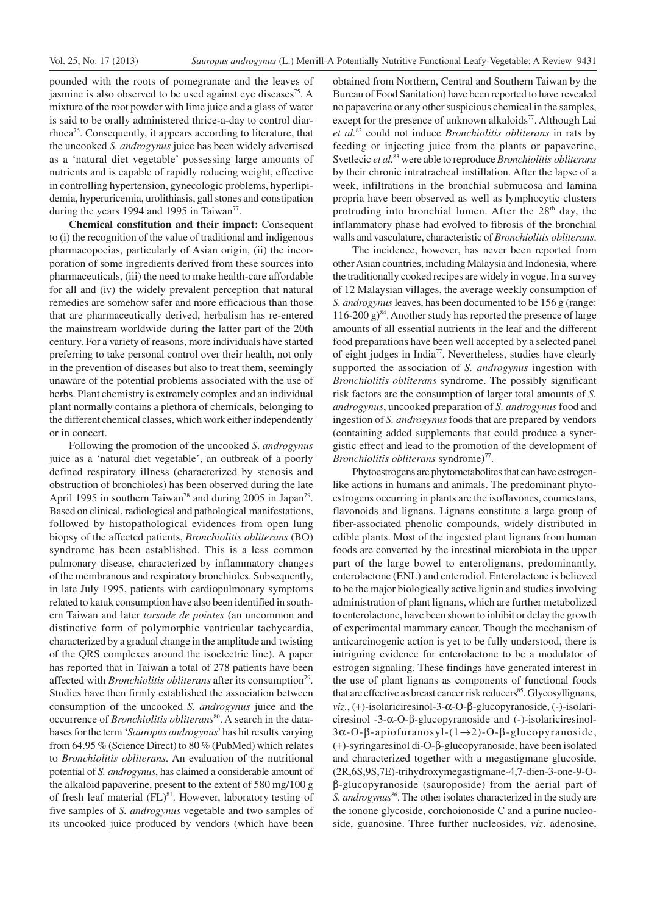pounded with the roots of pomegranate and the leaves of jasmine is also observed to be used against eye diseases<sup>75</sup>. A mixture of the root powder with lime juice and a glass of water is said to be orally administered thrice-a-day to control diarrhoea<sup>76</sup>. Consequently, it appears according to literature, that the uncooked *S. androgynus* juice has been widely advertised as a 'natural diet vegetable' possessing large amounts of nutrients and is capable of rapidly reducing weight, effective in controlling hypertension, gynecologic problems, hyperlipidemia, hyperuricemia, urolithiasis, gall stones and constipation during the years 1994 and 1995 in Taiwan<sup>77</sup>.

**Chemical constitution and their impact:** Consequent to (i) the recognition of the value of traditional and indigenous pharmacopoeias, particularly of Asian origin, (ii) the incorporation of some ingredients derived from these sources into pharmaceuticals, (iii) the need to make health-care affordable for all and (iv) the widely prevalent perception that natural remedies are somehow safer and more efficacious than those that are pharmaceutically derived, herbalism has re-entered the mainstream worldwide during the latter part of the 20th century. For a variety of reasons, more individuals have started preferring to take personal control over their health, not only in the prevention of diseases but also to treat them, seemingly unaware of the potential problems associated with the use of herbs. Plant chemistry is extremely complex and an individual plant normally contains a plethora of chemicals, belonging to the different chemical classes, which work either independently or in concert.

Following the promotion of the uncooked *S*. *androgynus* juice as a 'natural diet vegetable', an outbreak of a poorly defined respiratory illness (characterized by stenosis and obstruction of bronchioles) has been observed during the late April 1995 in southern Taiwan<sup>78</sup> and during 2005 in Japan<sup>79</sup>. Based on clinical, radiological and pathological manifestations, followed by histopathological evidences from open lung biopsy of the affected patients, *Bronchiolitis obliterans* (BO) syndrome has been established. This is a less common pulmonary disease, characterized by inflammatory changes of the membranous and respiratory bronchioles. Subsequently, in late July 1995, patients with cardiopulmonary symptoms related to katuk consumption have also been identified in southern Taiwan and later *torsade de pointes* (an uncommon and distinctive form of polymorphic ventricular tachycardia, characterized by a gradual change in the amplitude and twisting of the QRS complexes around the isoelectric line). A paper has reported that in Taiwan a total of 278 patients have been affected with *Bronchiolitis obliterans* after its consumption<sup>79</sup>. Studies have then firmly established the association between consumption of the uncooked *S. androgynus* juice and the occurrence of *Bronchiolitis obliterans*<sup>80</sup>. A search in the databases for the term '*Sauropus androgynus*' has hit results varying from 64.95 % (Science Direct) to 80 % (PubMed) which relates to *Bronchiolitis obliterans*. An evaluation of the nutritional potential of *S. androgynus*, has claimed a considerable amount of the alkaloid papaverine, present to the extent of 580 mg/100 g of fresh leaf material  $(FL)^{81}$ . However, laboratory testing of five samples of *S. androgynus* vegetable and two samples of its uncooked juice produced by vendors (which have been

obtained from Northern, Central and Southern Taiwan by the Bureau of Food Sanitation) have been reported to have revealed no papaverine or any other suspicious chemical in the samples, except for the presence of unknown alkaloids<sup>77</sup>. Although Lai *et al.*<sup>82</sup> could not induce *Bronchiolitis obliterans* in rats by feeding or injecting juice from the plants or papaverine, Svetlecic *et al.*<sup>83</sup> were able to reproduce *Bronchiolitis obliterans* by their chronic intratracheal instillation. After the lapse of a week, infiltrations in the bronchial submucosa and lamina propria have been observed as well as lymphocytic clusters protruding into bronchial lumen. After the 28<sup>th</sup> day, the inflammatory phase had evolved to fibrosis of the bronchial walls and vasculature, characteristic of *Bronchiolitis obliterans*.

The incidence, however, has never been reported from other Asian countries, including Malaysia and Indonesia, where the traditionally cooked recipes are widely in vogue. In a survey of 12 Malaysian villages, the average weekly consumption of *S. androgynus* leaves, has been documented to be 156 g (range:  $116-200$  g)<sup>84</sup>. Another study has reported the presence of large amounts of all essential nutrients in the leaf and the different food preparations have been well accepted by a selected panel of eight judges in India<sup>77</sup>. Nevertheless, studies have clearly supported the association of *S. androgynus* ingestion with *Bronchiolitis obliterans* syndrome. The possibly significant risk factors are the consumption of larger total amounts of *S. androgynus*, uncooked preparation of *S. androgynus* food and ingestion of *S. androgynus* foods that are prepared by vendors (containing added supplements that could produce a synergistic effect and lead to the promotion of the development of *Bronchiolitis obliterans* syndrome)<sup>77</sup>.

Phytoestrogens are phytometabolites that can have estrogenlike actions in humans and animals. The predominant phytoestrogens occurring in plants are the isoflavones, coumestans, flavonoids and lignans. Lignans constitute a large group of fiber-associated phenolic compounds, widely distributed in edible plants. Most of the ingested plant lignans from human foods are converted by the intestinal microbiota in the upper part of the large bowel to enterolignans, predominantly, enterolactone (ENL) and enterodiol. Enterolactone is believed to be the major biologically active lignin and studies involving administration of plant lignans, which are further metabolized to enterolactone, have been shown to inhibit or delay the growth of experimental mammary cancer. Though the mechanism of anticarcinogenic action is yet to be fully understood, there is intriguing evidence for enterolactone to be a modulator of estrogen signaling. These findings have generated interest in the use of plant lignans as components of functional foods that are effective as breast cancer risk reducers <sup>85</sup>. Glycosyllignans, *viz.*, (+)-isolariciresinol-3-α-O-β-glucopyranoside, (-)-isolariciresinol -3-α-O-β-glucopyranoside and (-)-isolariciresinol-3α-O-β-apiofuranosyl-(1→2)-O-β-glucopyranoside, (+)-syringaresinol di-O-β-glucopyranoside, have been isolated and characterized together with a megastigmane glucoside, (2R,6S,9S,7E)-trihydroxymegastigmane-4,7-dien-3-one-9-Oβ-glucopyranoside (sauroposide) from the aerial part of S. androgynus<sup>86</sup>. The other isolates characterized in the study are the ionone glycoside, corchoionoside C and a purine nucleoside, guanosine. Three further nucleosides, *viz*. adenosine,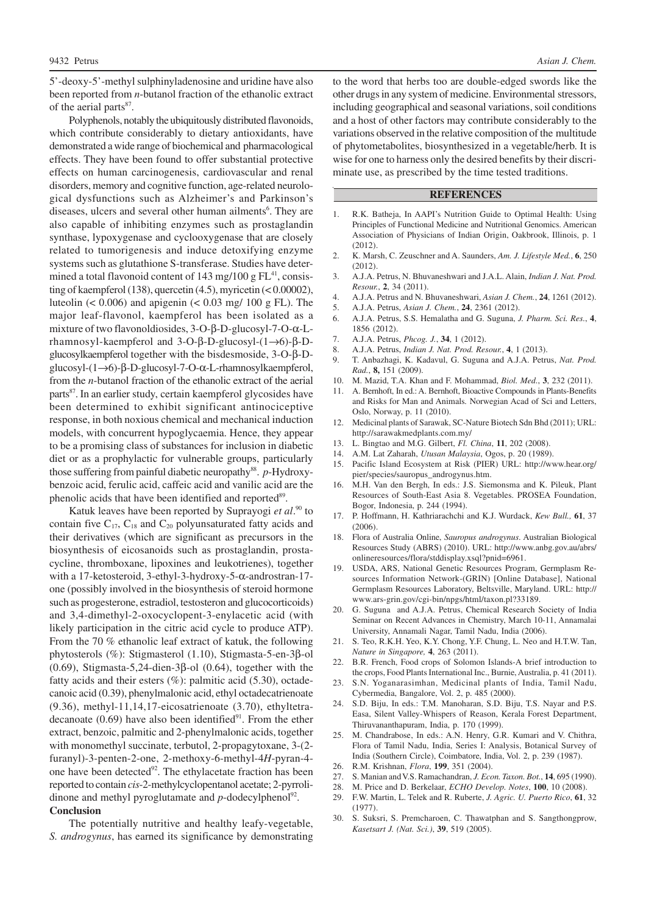5'-deoxy-5'-methyl sulphinyladenosine and uridine have also been reported from *n*-butanol fraction of the ethanolic extract of the aerial parts<sup>87</sup>.

Polyphenols, notably the ubiquitously distributed flavonoids, which contribute considerably to dietary antioxidants, have demonstrated a wide range of biochemical and pharmacological effects. They have been found to offer substantial protective effects on human carcinogenesis, cardiovascular and renal disorders, memory and cognitive function, age-related neurological dysfunctions such as Alzheimer's and Parkinson's diseases, ulcers and several other human ailments<sup>6</sup>. They are also capable of inhibiting enzymes such as prostaglandin synthase, lypoxygenase and cyclooxygenase that are closely related to tumorigenesis and induce detoxifying enzyme systems such as glutathione S-transferase. Studies have determined a total flavonoid content of  $143$  mg/ $100$  g FL<sup>41</sup>, consisting of kaempferol (138), quercetin  $(4.5)$ , myricetin  $(0.00002)$ , luteolin  $(< 0.006)$  and apigenin  $(< 0.03$  mg/ 100 g FL). The major leaf-flavonol, kaempferol has been isolated as a mixture of two flavonoldiosides, 3-O-β-D-glucosyl-7-O-α-Lrhamnosyl-kaempferol and 3-O-β-D-glucosyl-(1→6)-β-Dglucosylkaempferol together with the bisdesmoside, 3-O-β-Dglucosyl-(1→6)-β-D-glucosyl-7-O-α-L-rhamnosylkaempferol, from the *n*-butanol fraction of the ethanolic extract of the aerial parts<sup>87</sup>. In an earlier study, certain kaempferol glycosides have been determined to exhibit significant antinociceptive response, in both noxious chemical and mechanical induction models, with concurrent hypoglycaemia. Hence, they appear to be a promising class of substances for inclusion in diabetic diet or as a prophylactic for vulnerable groups, particularly those suffering from painful diabetic neuropathy 88 . *p*-Hydroxybenzoic acid, ferulic acid, caffeic acid and vanilic acid are the phenolic acids that have been identified and reported<sup>89</sup>.

Katuk leaves have been reported by Suprayogi *et al*. <sup>90</sup> to contain five  $C_{17}$ ,  $C_{18}$  and  $C_{20}$  polyunsaturated fatty acids and their derivatives (which are significant as precursors in the biosynthesis of eicosanoids such as prostaglandin, prostacycline, thromboxane, lipoxines and leukotrienes), together with a 17-ketosteroid, 3-ethyl-3-hydroxy-5-α-androstran-17 one (possibly involved in the biosynthesis of steroid hormone such as progesterone, estradiol, testosteron and glucocorticoids) and 3,4-dimethyl-2-oxocyclopent-3-enylacetic acid (with likely participation in the citric acid cycle to produce ATP). From the 70 % ethanolic leaf extract of katuk, the following phytosterols (%): Stigmasterol (1.10), Stigmasta-5-en-3β-ol (0.69), Stigmasta-5,24-dien-3β-ol (0.64), together with the fatty acids and their esters  $(\%)$ : palmitic acid  $(5.30)$ , octadecanoic acid (0.39), phenylmalonic acid, ethyl octadecatrienoate (9.36), methyl-11,14,17-eicosatrienoate (3.70), ethyltetradecanoate  $(0.69)$  have also been identified $^{91}$ . From the ether extract, benzoic, palmitic and 2-phenylmalonic acids, together with monomethyl succinate, terbutol, 2-propagytoxane, 3-(2 furanyl)-3-penten-2-one, 2-methoxy-6-methyl-4*H*-pyran-4 one have been detected<sup>92</sup>. The ethylacetate fraction has been reported to contain *cis*-2-methylcyclopentanol acetate; 2-pyrrolidinone and methyl pyroglutamate and  $p$ -dodecylphenol<sup>92</sup>. **Conclusion**

The potentially nutritive and healthy leafy-vegetable, *S. androgynus*, has earned its significance by demonstrating

to the word that herbs too are double-edged swords like the other drugs in any system of medicine. Environmental stressors, including geographical and seasonal variations, soil conditions and a host of other factors may contribute considerably to the variations observed in the relative composition of the multitude of phytometabolites, biosynthesized in a vegetable/herb. It is wise for one to harness only the desired benefits by their discriminate use, as prescribed by the time tested traditions.

### **REFERENCES**

- 1. R.K. Batheja, In AAPI's Nutrition Guide to Optimal Health: Using Principles of Functional Medicine and Nutritional Genomics. American Association of Physicians of Indian Origin, Oakbrook, Illinois, p. 1 (2012).
- 2. K. Marsh, C. Zeuschner and A. Saunders, *Am. J. Lifestyle Med.*, **6**, 250 (2012).
- 3. A.J.A. Petrus, N. Bhuvaneshwari and J.A.L. Alain, *Indian J. Nat. Prod. Resour.*, **2**, 34 (2011).
- 4. A.J.A. Petrus and N. Bhuvaneshwari, *Asian J. Chem.*, **24**, 1261 (2012).
- 5. A.J.A. Petrus, *Asian J. Chem.*, **24**, 2361 (2012).
- 6. A.J.A. Petrus, S.S. Hemalatha and G. Suguna, *J. Pharm. Sci. Res.*, **4**, 1856 (2012).
- 7. A.J.A. Petrus, *Phcog. J.*, **34**, 1 (2012).
- 8. A.J.A. Petrus, *Indian J. Nat. Prod. Resour.*, **4**, 1 (2013).
- 9. T. Anbazhagi, K. Kadavul, G. Suguna and A.J.A. Petrus, *Nat. Prod. Rad.*, **8,** 151 (2009).
- 10. M. Mazid, T.A. Khan and F. Mohammad, *Biol. Med.*, **3**, 232 (2011).
- 11. A. Bernhoft, In ed.: A. Bernhoft, Bioactive Compounds in Plants-Benefits and Risks for Man and Animals*.* Norwegian Acad of Sci and Letters, Oslo, Norway, p. 11 (2010).
- 12. Medicinal plants of Sarawak, SC-Nature Biotech Sdn Bhd (2011); URL: http://sarawakmedplants.com.my/
- 13. L. Bingtao and M.G. Gilbert, *Fl. China*, **11**, 202 (2008).
- 14. A.M. Lat Zaharah, *Utusan Malaysia*, Ogos, p. 20 (1989).
- 15. Pacific Island Ecosystem at Risk (PIER) URL: http://www.hear.org/ pier/species/sauropus\_androgynus.htm.
- 16. M.H. Van den Bergh, In eds.: J.S. Siemonsma and K. Pileuk, Plant Resources of South-East Asia 8. Vegetables. PROSEA Foundation, Bogor, Indonesia, p. 244 (1994).
- 17. P. Hoffmann, H. Kathriarachchi and K.J. Wurdack, *Kew Bull.,* **61**, 37 (2006).
- 18. Flora of Australia Online, *Sauropus androgynus*. Australian Biological Resources Study (ABRS) (2010). URL: http://www.anbg.gov.au/abrs/ onlineresources/flora/stddisplay.xsql?pnid=6961.
- 19. USDA, ARS, National Genetic Resources Program, Germplasm Resources Information Network-(GRIN) [Online Database], National Germplasm Resources Laboratory, Beltsville, Maryland. URL: http:// www.ars-grin.gov/cgi-bin/npgs/html/taxon.pl?33189.
- 20. G. Suguna and A.J.A. Petrus, Chemical Research Society of India Seminar on Recent Advances in Chemistry, March 10-11, Annamalai University, Annamali Nagar, Tamil Nadu, India (2006).
- 21. S. Teo, R.K.H. Yeo, K.Y. Chong, Y.F. Chung, L. Neo and H.T.W. Tan, *Nature in Singapore,* **4**, 263 (2011).
- 22. B.R. French, Food crops of Solomon Islands-A brief introduction to the crops, Food Plants International Inc., Burnie, Australia, p. 41 (2011).
- 23. S.N. Yoganarasimhan, Medicinal plants of India, Tamil Nadu, Cybermedia, Bangalore, Vol. 2, p. 485 (2000).
- 24. S.D. Biju, In eds.: T.M. Manoharan, S.D. Biju, T.S. Nayar and P.S. Easa, Silent Valley-Whispers of Reason, Kerala Forest Department, Thiruvananthapuram, India, p. 170 (1999).
- 25. M. Chandrabose, In eds.: A.N. Henry, G.R. Kumari and V. Chithra, Flora of Tamil Nadu, India, Series I: Analysis, Botanical Survey of India (Southern Circle), Coimbatore, India, Vol. 2, p. 239 (1987).
- 26. R.M. Krishnan, *Flora*, **199**, 351 (2004).
- 27. S. Manian and V.S. Ramachandran, *J. Econ. Taxon. Bot.*, **14**, 695 (1990).
- 28. M. Price and D. Berkelaar, *ECHO Develop. Notes*, **100**, 10 (2008).
- 29. F.W. Martin, L. Telek and R. Ruberte, *J. Agric. U. Puerto Rico*, **61**, 32 (1977).
- 30. S. Suksri, S. Premcharoen, C. Thawatphan and S. Sangthongprow, *Kasetsart J. (Nat. Sci.)*, **39**, 519 (2005).